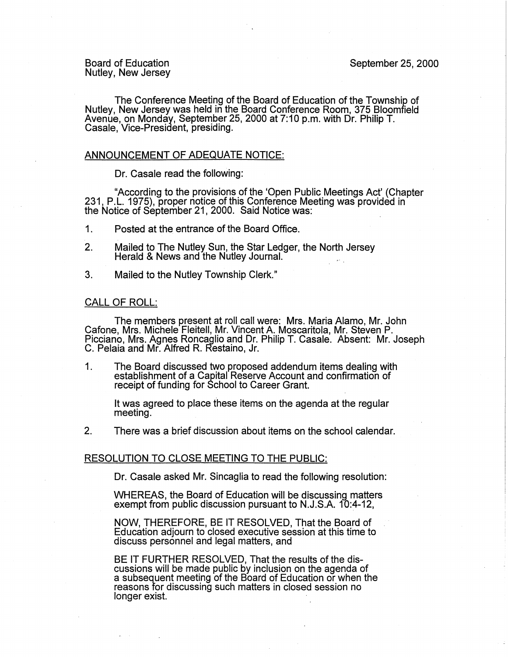Board of Education Nutley, New Jersey

The Conference Meeting of the Board of Education of the Township of Nutley, New Jersey was held in the Board Conference Room, 375 Bloomfield Avenue, on Monday, September 25, 2000 at 7:10 p.m. with Dr. Philip T. Casale, Vice-President, presiding.

## ANNOUNCEMENT OF ADEQUATE NOTICE:

Dr. Casale read the following:

"According to the provisions of the 'Open Public Meetings Act' (Chapter 231, P.L. 1975), proper notice of this Conference Meeting was provided in the Notice of September 21, 2000. Said Notice was:

- 1. Posted at the entrance of the Board Office.
- 2. Mailed to The Nutley Sun, the Star Ledger, the North Jersey Herald & News and the Nutley Journal.
- 3. Mailed to the Nutley Township Clerk."

## CALL OF ROLL:

The members present at roll call were: Mrs. Maria Alamo, Mr. John Cafone, Mrs. Michele Fleitell, Mr. Vincent A. Moscaritola, Mr. Steven P. Picciano, Mrs. Agnes Roncaglio and Dr. Philip T. Casale. Absent: Mr. Joseph C. Pelaia and Mr. Alfred R. Restaino, Jr.

1. The Board discussed two proposed addendum items dealing with establishment of a Capital Reserve Account and confirmation of receipt of funding for School to Career Grant.

It was agreed to place these items on the agenda at the regular meeting. .

2. There was a brief discussion about items on the school calendar.

## RESOLUTION TO CLOSE MEETING TO THE PUBLIC:

Dr. Casale asked Mr. Sincaglia to read the following resolution:

WHEREAS, the Board of Education will be discussing matters exempt from public discussion pursuant to N.J.S.A. 10:4-12,

**NOW,** THEREFORE, BE IT RESOLVED, That the Board of Education adjourn to closed executive session at this time to discuss personnel and legal matters, and

BE IT FURTHER RESOLVED, That the results of the discussions will be made public by inclusion on the agenda of a subsequent meeting of the Board of Education or when the reasons for discussing such matters in closed session no longer exist.